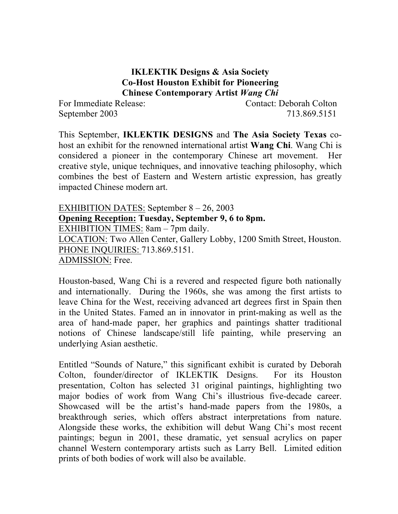#### **IKLEKTIK Designs & Asia Society Co-Host Houston Exhibit for Pioneering Chinese Contemporary Artist** *Wang Chi*

For Immediate Release: Contact: Deborah Colton September 2003 713.869.5151

This September, **IKLEKTIK DESIGNS** and **The Asia Society Texas** cohost an exhibit for the renowned international artist **Wang Chi**. Wang Chi is considered a pioneer in the contemporary Chinese art movement. Her creative style, unique techniques, and innovative teaching philosophy, which combines the best of Eastern and Western artistic expression, has greatly impacted Chinese modern art.

EXHIBITION DATES: September 8 – 26, 2003 **Opening Reception: Tuesday, September 9, 6 to 8pm.**  EXHIBITION TIMES: 8am – 7pm daily. LOCATION: Two Allen Center, Gallery Lobby, 1200 Smith Street, Houston. PHONE INQUIRIES: 713.869.5151. ADMISSION: Free.

Houston-based, Wang Chi is a revered and respected figure both nationally and internationally. During the 1960s, she was among the first artists to leave China for the West, receiving advanced art degrees first in Spain then in the United States. Famed an in innovator in print-making as well as the area of hand-made paper, her graphics and paintings shatter traditional notions of Chinese landscape/still life painting, while preserving an underlying Asian aesthetic.

Entitled "Sounds of Nature," this significant exhibit is curated by Deborah Colton, founder/director of IKLEKTIK Designs. For its Houston presentation, Colton has selected 31 original paintings, highlighting two major bodies of work from Wang Chi's illustrious five-decade career. Showcased will be the artist's hand-made papers from the 1980s, a breakthrough series, which offers abstract interpretations from nature. Alongside these works, the exhibition will debut Wang Chi's most recent paintings; begun in 2001, these dramatic, yet sensual acrylics on paper channel Western contemporary artists such as Larry Bell. Limited edition prints of both bodies of work will also be available.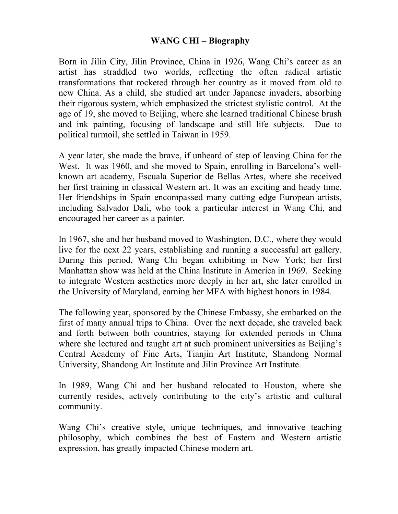#### **WANG CHI – Biography**

Born in Jilin City, Jilin Province, China in 1926, Wang Chi's career as an artist has straddled two worlds, reflecting the often radical artistic transformations that rocketed through her country as it moved from old to new China. As a child, she studied art under Japanese invaders, absorbing their rigorous system, which emphasized the strictest stylistic control. At the age of 19, she moved to Beijing, where she learned traditional Chinese brush and ink painting, focusing of landscape and still life subjects. Due to political turmoil, she settled in Taiwan in 1959.

A year later, she made the brave, if unheard of step of leaving China for the West. It was 1960, and she moved to Spain, enrolling in Barcelona's wellknown art academy, Escuala Superior de Bellas Artes, where she received her first training in classical Western art. It was an exciting and heady time. Her friendships in Spain encompassed many cutting edge European artists, including Salvador Dali, who took a particular interest in Wang Chi, and encouraged her career as a painter.

In 1967, she and her husband moved to Washington, D.C., where they would live for the next 22 years, establishing and running a successful art gallery. During this period, Wang Chi began exhibiting in New York; her first Manhattan show was held at the China Institute in America in 1969. Seeking to integrate Western aesthetics more deeply in her art, she later enrolled in the University of Maryland, earning her MFA with highest honors in 1984.

The following year, sponsored by the Chinese Embassy, she embarked on the first of many annual trips to China. Over the next decade, she traveled back and forth between both countries, staying for extended periods in China where she lectured and taught art at such prominent universities as Beijing's Central Academy of Fine Arts, Tianjin Art Institute, Shandong Normal University, Shandong Art Institute and Jilin Province Art Institute.

In 1989, Wang Chi and her husband relocated to Houston, where she currently resides, actively contributing to the city's artistic and cultural community.

Wang Chi's creative style, unique techniques, and innovative teaching philosophy, which combines the best of Eastern and Western artistic expression, has greatly impacted Chinese modern art.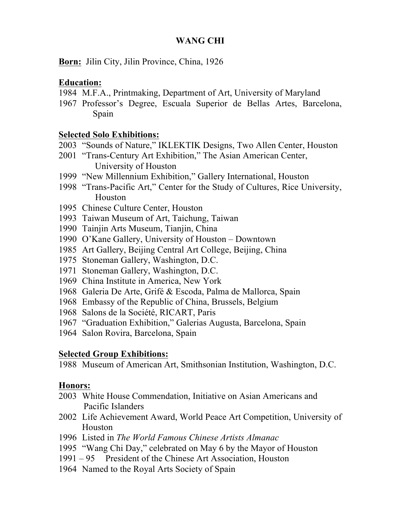## **WANG CHI**

**Born:** Jilin City, Jilin Province, China, 1926

# **Education:**

- M.F.A., Printmaking, Department of Art, University of Maryland
- Professor's Degree, Escuala Superior de Bellas Artes, Barcelona, Spain

## **Selected Solo Exhibitions:**

- "Sounds of Nature," IKLEKTIK Designs, Two Allen Center, Houston
- "Trans-Century Art Exhibition," The Asian American Center, University of Houston
- 1999 "New Millennium Exhibition," Gallery International, Houston
- "Trans-Pacific Art," Center for the Study of Cultures, Rice University, Houston
- Chinese Culture Center, Houston
- Taiwan Museum of Art, Taichung, Taiwan
- Tainjin Arts Museum, Tianjin, China
- O'Kane Gallery, University of Houston Downtown
- Art Gallery, Beijing Central Art College, Beijing, China
- Stoneman Gallery, Washington, D.C.
- Stoneman Gallery, Washington, D.C.
- China Institute in America, New York
- Galeria De Arte, Grifé & Escoda, Palma de Mallorca, Spain
- 1968 Embassy of the Republic of China, Brussels, Belgium
- Salons de la Société, RICART, Paris
- "Graduation Exhibition," Galerias Augusta, Barcelona, Spain
- Salon Rovira, Barcelona, Spain

## **Selected Group Exhibitions:**

Museum of American Art, Smithsonian Institution, Washington, D.C.

## **Honors:**

- White House Commendation, Initiative on Asian Americans and Pacific Islanders
- Life Achievement Award, World Peace Art Competition, University of Houston
- Listed in *The World Famous Chinese Artists Almanac*
- "Wang Chi Day," celebrated on May 6 by the Mayor of Houston
- 1991 95 President of the Chinese Art Association, Houston
- Named to the Royal Arts Society of Spain